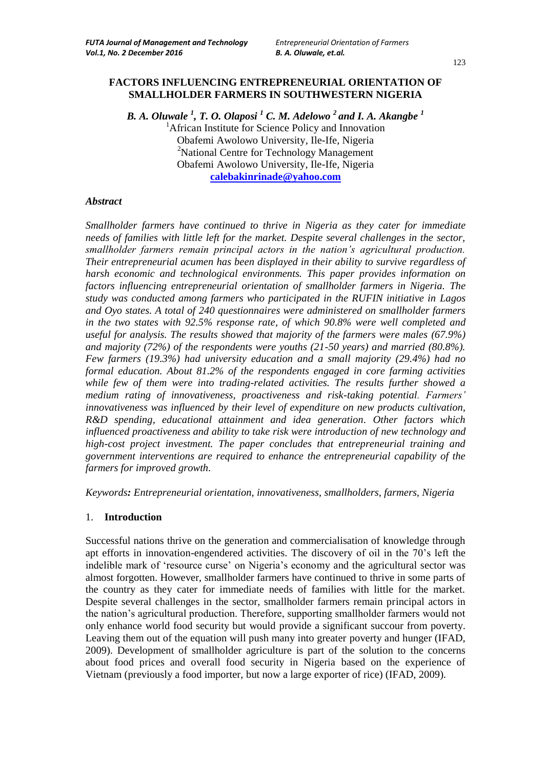# **FACTORS INFLUENCING ENTREPRENEURIAL ORIENTATION OF SMALLHOLDER FARMERS IN SOUTHWESTERN NIGERIA**

*B. A. Oluwale <sup>1</sup> , T. O. Olaposi <sup>1</sup> C. M. Adelowo <sup>2</sup> and I. A. Akangbe <sup>1</sup>*  $<sup>1</sup>$ African Institute for Science Policy and Innovation</sup> Obafemi Awolowo University, Ile-Ife, Nigeria <sup>2</sup>National Centre for Technology Management Obafemi Awolowo University, Ile-Ife, Nigeria **[calebakinrinade@yahoo.com](mailto:calebakinrinade@yahoo.com)**

#### *Abstract*

*Smallholder farmers have continued to thrive in Nigeria as they cater for immediate needs of families with little left for the market. Despite several challenges in the sector, smallholder farmers remain principal actors in the nation's agricultural production. Their entrepreneurial acumen has been displayed in their ability to survive regardless of harsh economic and technological environments. This paper provides information on factors influencing entrepreneurial orientation of smallholder farmers in Nigeria. The study was conducted among farmers who participated in the RUFIN initiative in Lagos and Oyo states. A total of 240 questionnaires were administered on smallholder farmers in the two states with 92.5% response rate, of which 90.8% were well completed and useful for analysis. The results showed that majority of the farmers were males (67.9%) and majority (72%) of the respondents were youths (21-50 years) and married (80.8%). Few farmers (19.3%) had university education and a small majority (29.4%) had no formal education. About 81.2% of the respondents engaged in core farming activities while few of them were into trading-related activities. The results further showed a medium rating of innovativeness, proactiveness and risk-taking potential. Farmers' innovativeness was influenced by their level of expenditure on new products cultivation, R&D spending, educational attainment and idea generation. Other factors which influenced proactiveness and ability to take risk were introduction of new technology and high-cost project investment. The paper concludes that entrepreneurial training and government interventions are required to enhance the entrepreneurial capability of the farmers for improved growth.*

*Keywords: Entrepreneurial orientation, innovativeness, smallholders, farmers, Nigeria*

#### 1. **Introduction**

Successful nations thrive on the generation and commercialisation of knowledge through apt efforts in innovation-engendered activities. The discovery of oil in the 70"s left the indelible mark of 'resource curse' on Nigeria's economy and the agricultural sector was almost forgotten. However, smallholder farmers have continued to thrive in some parts of the country as they cater for immediate needs of families with little for the market. Despite several challenges in the sector, smallholder farmers remain principal actors in the nation"s agricultural production. Therefore, supporting smallholder farmers would not only enhance world food security but would provide a significant succour from poverty. Leaving them out of the equation will push many into greater poverty and hunger (IFAD, 2009). Development of smallholder agriculture is part of the solution to the concerns about food prices and overall food security in Nigeria based on the experience of Vietnam (previously a food importer, but now a large exporter of rice) (IFAD, 2009).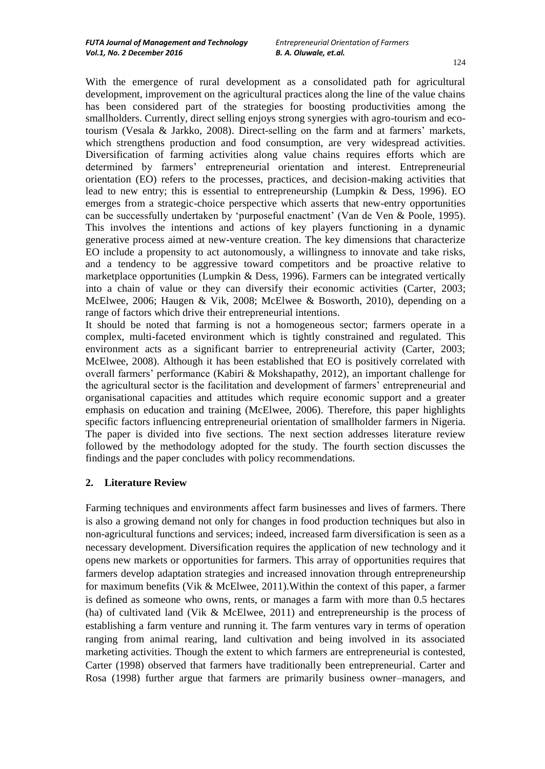With the emergence of rural development as a consolidated path for agricultural development, improvement on the agricultural practices along the line of the value chains has been considered part of the strategies for boosting productivities among the smallholders. Currently, direct selling enjoys strong synergies with agro-tourism and ecotourism (Vesala & Jarkko, 2008). Direct-selling on the farm and at farmers" markets, which strengthens production and food consumption, are very widespread activities. Diversification of farming activities along value chains requires efforts which are determined by farmers" entrepreneurial orientation and interest. Entrepreneurial orientation (EO) refers to the processes, practices, and decision-making activities that lead to new entry; this is essential to entrepreneurship (Lumpkin & Dess, 1996). EO emerges from a strategic-choice perspective which asserts that new-entry opportunities can be successfully undertaken by "purposeful enactment" (Van de Ven & Poole, 1995). This involves the intentions and actions of key players functioning in a dynamic generative process aimed at new-venture creation. The key dimensions that characterize EO include a propensity to act autonomously, a willingness to innovate and take risks, and a tendency to be aggressive toward competitors and be proactive relative to marketplace opportunities (Lumpkin & Dess, 1996). Farmers can be integrated vertically into a chain of value or they can diversify their economic activities (Carter, 2003; McElwee, 2006; Haugen & Vik, 2008; McElwee & Bosworth, 2010), depending on a range of factors which drive their entrepreneurial intentions.

It should be noted that farming is not a homogeneous sector; farmers operate in a complex, multi-faceted environment which is tightly constrained and regulated. This environment acts as a significant barrier to entrepreneurial activity (Carter, 2003; McElwee, 2008). Although it has been established that EO is positively correlated with overall farmers" performance (Kabiri & Mokshapathy, 2012), an important challenge for the agricultural sector is the facilitation and development of farmers' entrepreneurial and organisational capacities and attitudes which require economic support and a greater emphasis on education and training (McElwee, 2006). Therefore, this paper highlights specific factors influencing entrepreneurial orientation of smallholder farmers in Nigeria. The paper is divided into five sections. The next section addresses literature review followed by the methodology adopted for the study. The fourth section discusses the findings and the paper concludes with policy recommendations.

#### **2. Literature Review**

Farming techniques and environments affect farm businesses and lives of farmers. There is also a growing demand not only for changes in food production techniques but also in non-agricultural functions and services; indeed, increased farm diversification is seen as a necessary development. Diversification requires the application of new technology and it opens new markets or opportunities for farmers. This array of opportunities requires that farmers develop adaptation strategies and increased innovation through entrepreneurship for maximum benefits (Vik & McElwee, 2011).Within the context of this paper, a farmer is defined as someone who owns, rents, or manages a farm with more than 0.5 hectares (ha) of cultivated land (Vik  $\&$  McElwee, 2011) and entrepreneurship is the process of establishing a farm venture and running it. The farm ventures vary in terms of operation ranging from animal rearing, land cultivation and being involved in its associated marketing activities. Though the extent to which farmers are entrepreneurial is contested, Carter (1998) observed that farmers have traditionally been entrepreneurial. Carter and Rosa (1998) further argue that farmers are primarily business owner–managers, and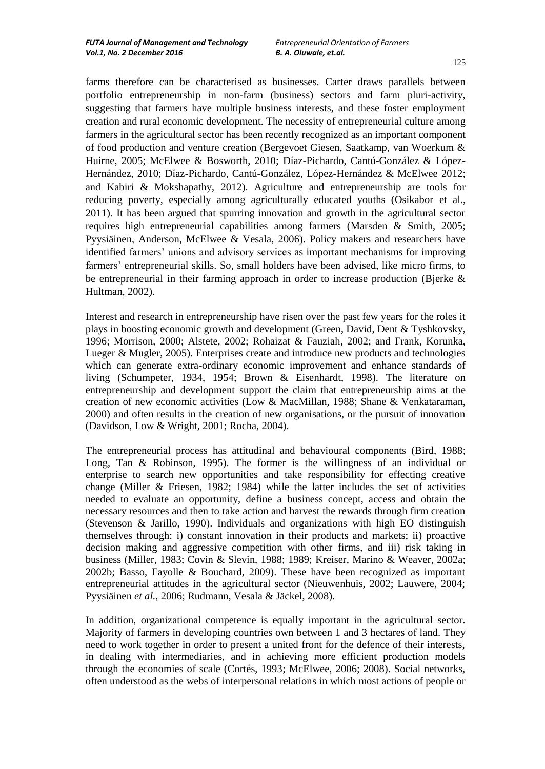farms therefore can be characterised as businesses. Carter draws parallels between portfolio entrepreneurship in non-farm (business) sectors and farm pluri-activity, suggesting that farmers have multiple business interests, and these foster employment creation and rural economic development. The necessity of entrepreneurial culture among farmers in the agricultural sector has been recently recognized as an important component of food production and venture creation (Bergevoet Giesen, Saatkamp, van Woerkum & Huirne, 2005; McElwee & Bosworth, 2010; Díaz-Pichardo, Cantú-González & López-Hernández, 2010; Díaz-Pichardo, Cantú-González, López-Hernández & McElwee 2012; and Kabiri & Mokshapathy, 2012). Agriculture and entrepreneurship are tools for reducing poverty, especially among agriculturally educated youths (Osikabor et al., 2011). It has been argued that spurring innovation and growth in the agricultural sector requires high entrepreneurial capabilities among farmers (Marsden & Smith, 2005; Pyysiäinen, Anderson, McElwee & Vesala, 2006). Policy makers and researchers have identified farmers" unions and advisory services as important mechanisms for improving farmers" entrepreneurial skills. So, small holders have been advised, like micro firms, to be entrepreneurial in their farming approach in order to increase production (Bjerke  $\&$ Hultman, 2002).

Interest and research in entrepreneurship have risen over the past few years for the roles it plays in boosting economic growth and development (Green, David, Dent & Tyshkovsky, 1996; Morrison, 2000; Alstete, 2002; Rohaizat & Fauziah, 2002; and Frank, Korunka, Lueger & Mugler, 2005). Enterprises create and introduce new products and technologies which can generate extra-ordinary economic improvement and enhance standards of living (Schumpeter, 1934, 1954; Brown & Eisenhardt, 1998). The literature on entrepreneurship and development support the claim that entrepreneurship aims at the creation of new economic activities (Low & MacMillan, 1988; Shane & Venkataraman, 2000) and often results in the creation of new organisations, or the pursuit of innovation (Davidson, Low & Wright, 2001; Rocha, 2004).

The entrepreneurial process has attitudinal and behavioural components (Bird, 1988; Long, Tan & Robinson, 1995). The former is the willingness of an individual or enterprise to search new opportunities and take responsibility for effecting creative change (Miller & Friesen, 1982; 1984) while the latter includes the set of activities needed to evaluate an opportunity, define a business concept, access and obtain the necessary resources and then to take action and harvest the rewards through firm creation (Stevenson & Jarillo, 1990). Individuals and organizations with high EO distinguish themselves through: i) constant innovation in their products and markets; ii) proactive decision making and aggressive competition with other firms, and iii) risk taking in business (Miller, 1983; Covin & Slevin, 1988; 1989; Kreiser, Marino & Weaver, 2002a; 2002b; Basso, Fayolle & Bouchard, 2009). These have been recognized as important entrepreneurial attitudes in the agricultural sector (Nieuwenhuis, 2002; Lauwere, 2004; Pyysiäinen *et al.*, 2006; Rudmann, Vesala & Jäckel, 2008).

In addition, organizational competence is equally important in the agricultural sector. Majority of farmers in developing countries own between 1 and 3 hectares of land. They need to work together in order to present a united front for the defence of their interests, in dealing with intermediaries, and in achieving more efficient production models through the economies of scale (Cortés, 1993; McElwee, 2006; 2008). Social networks, often understood as the webs of interpersonal relations in which most actions of people or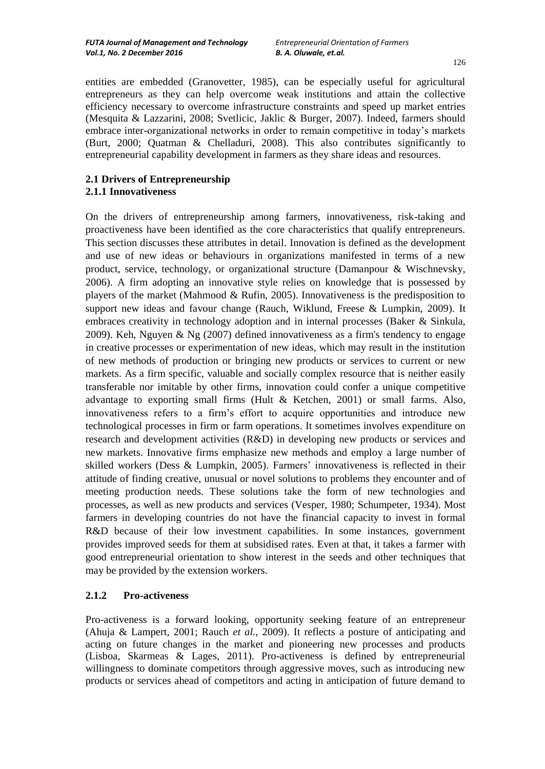entities are embedded (Granovetter, 1985), can be especially useful for agricultural entrepreneurs as they can help overcome weak institutions and attain the collective efficiency necessary to overcome infrastructure constraints and speed up market entries (Mesquita & Lazzarini, 2008; Svetlicic, Jaklic & Burger, 2007). Indeed, farmers should embrace inter-organizational networks in order to remain competitive in today"s markets (Burt, 2000; Quatman & Chelladuri, 2008). This also contributes significantly to entrepreneurial capability development in farmers as they share ideas and resources.

#### **2.1 Drivers of Entrepreneurship 2.1.1 Innovativeness**

On the drivers of entrepreneurship among farmers, innovativeness, risk-taking and proactiveness have been identified as the core characteristics that qualify entrepreneurs. This section discusses these attributes in detail. Innovation is defined as the development and use of new ideas or behaviours in organizations manifested in terms of a new product, service, technology, or organizational structure (Damanpour & Wischnevsky, 2006). A firm adopting an innovative style relies on knowledge that is possessed by players of the market (Mahmood & Rufin, 2005). Innovativeness is the predisposition to support new ideas and favour change (Rauch, Wiklund, Freese & Lumpkin, 2009). It embraces creativity in technology adoption and in internal processes (Baker & Sinkula, 2009). Keh, Nguyen & Ng (2007) defined innovativeness as a firm's tendency to engage in creative processes or experimentation of new ideas, which may result in the institution of new methods of production or bringing new products or services to current or new markets. As a firm specific, valuable and socially complex resource that is neither easily transferable nor imitable by other firms, innovation could confer a unique competitive advantage to exporting small firms (Hult & Ketchen, 2001) or small farms. Also, innovativeness refers to a firm"s effort to acquire opportunities and introduce new technological processes in firm or farm operations. It sometimes involves expenditure on research and development activities (R&D) in developing new products or services and new markets. Innovative firms emphasize new methods and employ a large number of skilled workers (Dess & Lumpkin, 2005). Farmers" innovativeness is reflected in their attitude of finding creative, unusual or novel solutions to problems they encounter and of meeting production needs. These solutions take the form of new technologies and processes, as well as new products and services (Vesper, 1980; Schumpeter, 1934). Most farmers in developing countries do not have the financial capacity to invest in formal R&D because of their low investment capabilities. In some instances, government provides improved seeds for them at subsidised rates. Even at that, it takes a farmer with good entrepreneurial orientation to show interest in the seeds and other techniques that may be provided by the extension workers.

# **2.1.2 Pro-activeness**

Pro-activeness is a forward looking, opportunity seeking feature of an entrepreneur (Ahuja & Lampert, 2001; Rauch *et al.*, 2009). It reflects a posture of anticipating and acting on future changes in the market and pioneering new processes and products (Lisboa, Skarmeas & Lages, 2011). Pro-activeness is defined by entrepreneurial willingness to dominate competitors through aggressive moves, such as introducing new products or services ahead of competitors and acting in anticipation of future demand to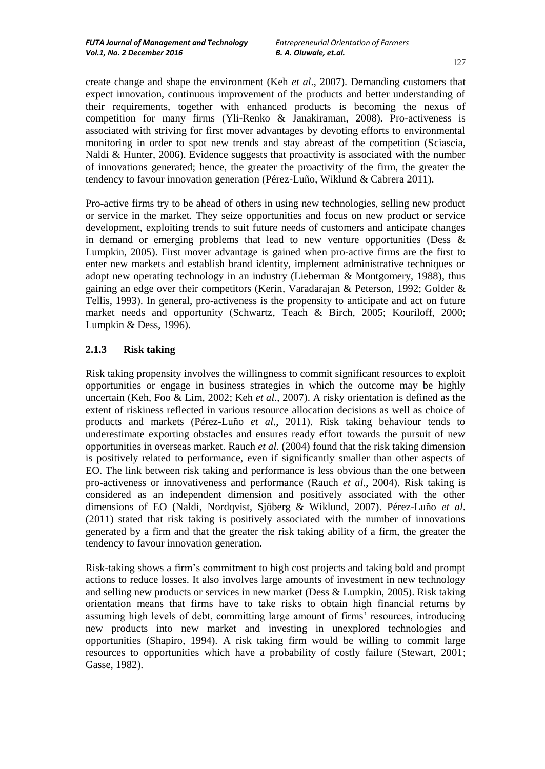create change and shape the environment (Keh *et al*., 2007). Demanding customers that expect innovation, continuous improvement of the products and better understanding of their requirements, together with enhanced products is becoming the nexus of competition for many firms (Yli-Renko & Janakiraman, 2008). Pro-activeness is associated with striving for first mover advantages by devoting efforts to environmental monitoring in order to spot new trends and stay abreast of the competition (Sciascia, Naldi & Hunter, 2006). Evidence suggests that proactivity is associated with the number of innovations generated; hence, the greater the proactivity of the firm, the greater the tendency to favour innovation generation (Pérez-Luño, Wiklund & Cabrera 2011).

Pro-active firms try to be ahead of others in using new technologies, selling new product or service in the market. They seize opportunities and focus on new product or service development, exploiting trends to suit future needs of customers and anticipate changes in demand or emerging problems that lead to new venture opportunities (Dess  $\&$ Lumpkin, 2005). First mover advantage is gained when pro-active firms are the first to enter new markets and establish brand identity, implement administrative techniques or adopt new operating technology in an industry (Lieberman & Montgomery, 1988), thus gaining an edge over their competitors (Kerin, Varadarajan & Peterson, 1992; Golder & Tellis, 1993). In general, pro-activeness is the propensity to anticipate and act on future market needs and opportunity (Schwartz, Teach & Birch, 2005; Kouriloff, 2000; Lumpkin & Dess, 1996).

## **2.1.3 Risk taking**

Risk taking propensity involves the willingness to commit significant resources to exploit opportunities or engage in business strategies in which the outcome may be highly uncertain (Keh, Foo & Lim, 2002; Keh *et al*., 2007). A risky orientation is defined as the extent of riskiness reflected in various resource allocation decisions as well as choice of products and markets (Pérez-Luño *et al*., 2011). Risk taking behaviour tends to underestimate exporting obstacles and ensures ready effort towards the pursuit of new opportunities in overseas market. Rauch *et al*. (2004) found that the risk taking dimension is positively related to performance, even if significantly smaller than other aspects of EO. The link between risk taking and performance is less obvious than the one between pro-activeness or innovativeness and performance (Rauch *et al*., 2004). Risk taking is considered as an independent dimension and positively associated with the other dimensions of EO (Naldi, Nordqvist, Sjöberg & Wiklund, 2007). Pérez-Luño *et al*. (2011) stated that risk taking is positively associated with the number of innovations generated by a firm and that the greater the risk taking ability of a firm, the greater the tendency to favour innovation generation.

Risk-taking shows a firm"s commitment to high cost projects and taking bold and prompt actions to reduce losses. It also involves large amounts of investment in new technology and selling new products or services in new market (Dess & Lumpkin, 2005). Risk taking orientation means that firms have to take risks to obtain high financial returns by assuming high levels of debt, committing large amount of firms" resources, introducing new products into new market and investing in unexplored technologies and opportunities (Shapiro, 1994). A risk taking firm would be willing to commit large resources to opportunities which have a probability of costly failure (Stewart, 2001; Gasse, 1982).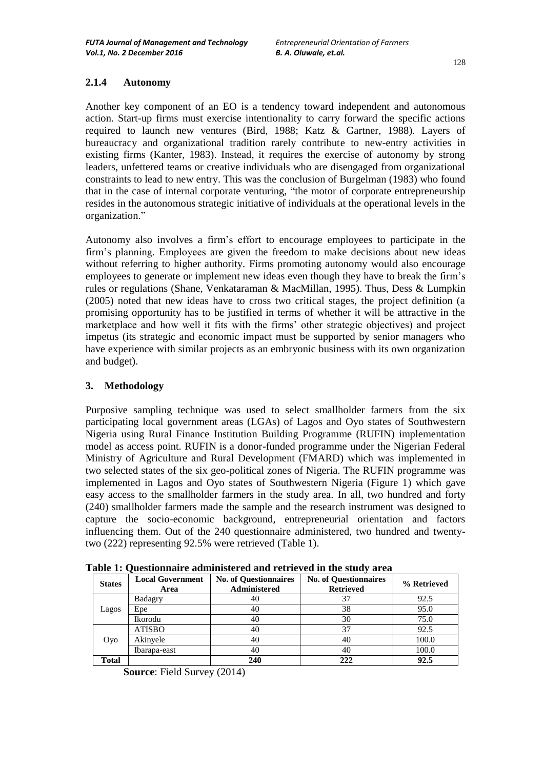## **2.1.4 Autonomy**

Another key component of an EO is a tendency toward independent and autonomous action. Start-up firms must exercise intentionality to carry forward the specific actions required to launch new ventures (Bird, 1988; Katz & Gartner, 1988). Layers of bureaucracy and organizational tradition rarely contribute to new-entry activities in existing firms (Kanter, 1983). Instead, it requires the exercise of autonomy by strong leaders, unfettered teams or creative individuals who are disengaged from organizational constraints to lead to new entry. This was the conclusion of Burgelman (1983) who found that in the case of internal corporate venturing, "the motor of corporate entrepreneurship resides in the autonomous strategic initiative of individuals at the operational levels in the organization."

Autonomy also involves a firm"s effort to encourage employees to participate in the firm"s planning. Employees are given the freedom to make decisions about new ideas without referring to higher authority. Firms promoting autonomy would also encourage employees to generate or implement new ideas even though they have to break the firm"s rules or regulations (Shane, Venkataraman & MacMillan, 1995). Thus, Dess & Lumpkin (2005) noted that new ideas have to cross two critical stages, the project definition (a promising opportunity has to be justified in terms of whether it will be attractive in the marketplace and how well it fits with the firms" other strategic objectives) and project impetus (its strategic and economic impact must be supported by senior managers who have experience with similar projects as an embryonic business with its own organization and budget).

## **3. Methodology**

Purposive sampling technique was used to select smallholder farmers from the six participating local government areas (LGAs) of Lagos and Oyo states of Southwestern Nigeria using Rural Finance Institution Building Programme (RUFIN) implementation model as access point. RUFIN is a donor-funded programme under the Nigerian Federal Ministry of Agriculture and Rural Development (FMARD) which was implemented in two selected states of the six geo-political zones of Nigeria. The RUFIN programme was implemented in Lagos and Oyo states of Southwestern Nigeria (Figure 1) which gave easy access to the smallholder farmers in the study area. In all, two hundred and forty (240) smallholder farmers made the sample and the research instrument was designed to capture the socio-economic background, entrepreneurial orientation and factors influencing them. Out of the 240 questionnaire administered, two hundred and twentytwo (222) representing 92.5% were retrieved (Table 1).

| <b>States</b> | <b>Local Government</b><br>Area | <b>No. of Questionnaires</b><br><b>Administered</b> | <b>No. of Questionnaires</b><br><b>Retrieved</b> | % Retrieved |
|---------------|---------------------------------|-----------------------------------------------------|--------------------------------------------------|-------------|
| Lagos         | Badagry                         | 40                                                  | 37                                               | 92.5        |
|               | Epe                             | 40                                                  | 38                                               | 95.0        |
|               | Ikorodu                         | 40                                                  | 30                                               | 75.0        |
| Oyo           | <b>ATISBO</b>                   | 40                                                  | 37                                               | 92.5        |
|               | Akinyele                        | 40                                                  | 40                                               | 100.0       |
|               | Ibarapa-east                    | 40                                                  | 40                                               | 100.0       |
| <b>Total</b>  |                                 | 240                                                 | 222                                              | 92.5        |

**Table 1: Questionnaire administered and retrieved in the study area**

**Source**: Field Survey (2014)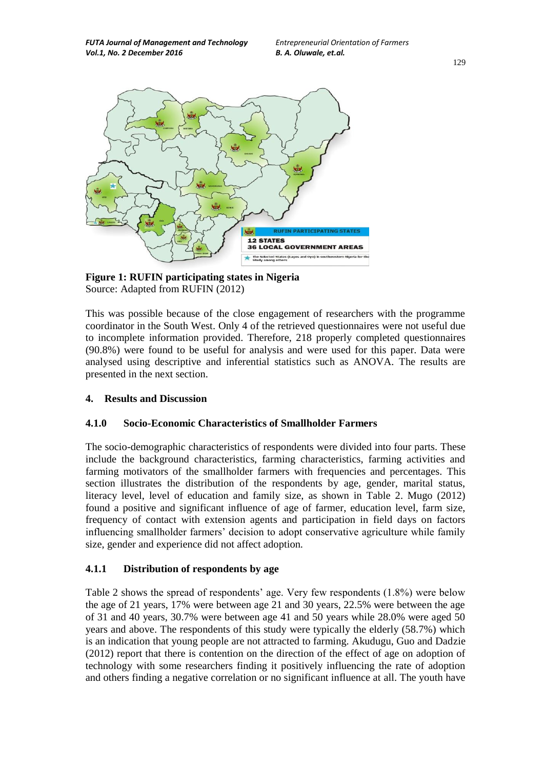*FUTA Journal of Management and Technology Entrepreneurial Orientation of Farmers Vol.1, No. 2 December 2016 B. A. Oluwale, et.al.*



**Figure 1: RUFIN participating states in Nigeria** Source: Adapted from RUFIN (2012)

This was possible because of the close engagement of researchers with the programme coordinator in the South West. Only 4 of the retrieved questionnaires were not useful due to incomplete information provided. Therefore, 218 properly completed questionnaires (90.8%) were found to be useful for analysis and were used for this paper. Data were analysed using descriptive and inferential statistics such as ANOVA. The results are presented in the next section.

## **4. Results and Discussion**

#### **4.1.0 Socio-Economic Characteristics of Smallholder Farmers**

The socio-demographic characteristics of respondents were divided into four parts. These include the background characteristics, farming characteristics, farming activities and farming motivators of the smallholder farmers with frequencies and percentages. This section illustrates the distribution of the respondents by age, gender, marital status, literacy level, level of education and family size, as shown in Table 2. Mugo (2012) found a positive and significant influence of age of farmer, education level, farm size, frequency of contact with extension agents and participation in field days on factors influencing smallholder farmers" decision to adopt conservative agriculture while family size, gender and experience did not affect adoption.

### **4.1.1 Distribution of respondents by age**

Table 2 shows the spread of respondents' age. Very few respondents  $(1.8\%)$  were below the age of 21 years, 17% were between age 21 and 30 years, 22.5% were between the age of 31 and 40 years, 30.7% were between age 41 and 50 years while 28.0% were aged 50 years and above. The respondents of this study were typically the elderly (58.7%) which is an indication that young people are not attracted to farming. Akudugu, Guo and Dadzie (2012) report that there is contention on the direction of the effect of age on adoption of technology with some researchers finding it positively influencing the rate of adoption and others finding a negative correlation or no significant influence at all. The youth have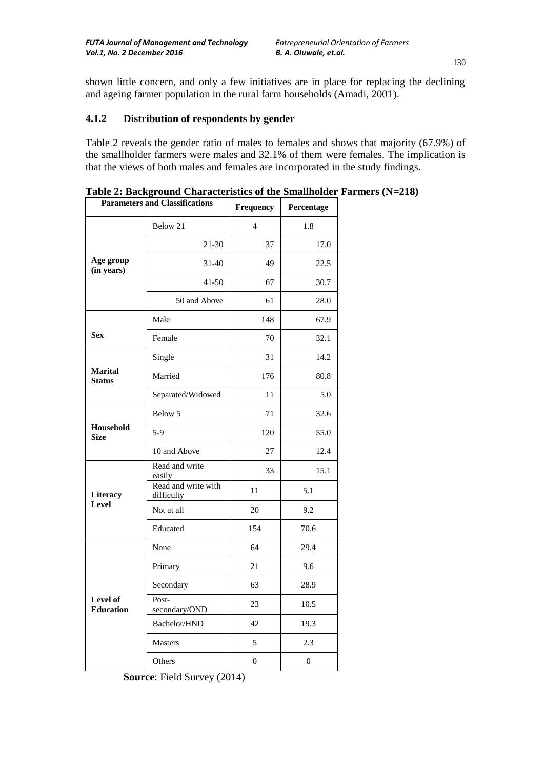shown little concern, and only a few initiatives are in place for replacing the declining and ageing farmer population in the rural farm households (Amadi, 2001).

## **4.1.2 Distribution of respondents by gender**

Table 2 reveals the gender ratio of males to females and shows that majority (67.9%) of the smallholder farmers were males and 32.1% of them were females. The implication is that the views of both males and females are incorporated in the study findings.

| <b>Parameters and Classifications</b> |                                   | <b>Frequency</b> | Percentage       |  |
|---------------------------------------|-----------------------------------|------------------|------------------|--|
|                                       | Below 21                          | $\overline{4}$   | 1.8              |  |
|                                       | $21 - 30$                         | 37               | 17.0             |  |
| Age group<br>(in years)               | $31 - 40$                         | 49               | 22.5             |  |
|                                       | $41 - 50$                         | 67               | 30.7             |  |
|                                       | 50 and Above                      | 61               | 28.0             |  |
|                                       | Male                              | 148              | 67.9             |  |
| <b>Sex</b>                            | Female                            | 70               | 32.1             |  |
|                                       | Single                            | 31               | 14.2             |  |
| <b>Marital</b><br><b>Status</b>       | Married                           | 176              | 80.8             |  |
|                                       | Separated/Widowed                 | 11               | 5.0              |  |
|                                       | Below 5                           | 71               | 32.6             |  |
| Household<br><b>Size</b>              | $5-9$                             | 120              | 55.0             |  |
|                                       | 10 and Above                      | 27               | 12.4             |  |
|                                       | Read and write<br>easily          | 33               | 15.1             |  |
| Literacy                              | Read and write with<br>difficulty | 11               | 5.1              |  |
| Level                                 | Not at all                        | 20               | 9.2              |  |
|                                       | Educated                          | 154              | 70.6             |  |
|                                       | None                              | 64               | 29.4             |  |
|                                       | Primary                           | 21               | 9.6              |  |
|                                       | Secondary                         | 63               | 28.9             |  |
| Level of<br><b>Education</b>          | Post-<br>secondary/OND            | 23               | 10.5             |  |
|                                       | Bachelor/HND                      | 42               | 19.3             |  |
|                                       | Masters                           | 5                | 2.3              |  |
|                                       | Others                            | 0                | $\boldsymbol{0}$ |  |

**Table 2: Background Characteristics of the Smallholder Farmers (N=218)**

**Source**: Field Survey (2014)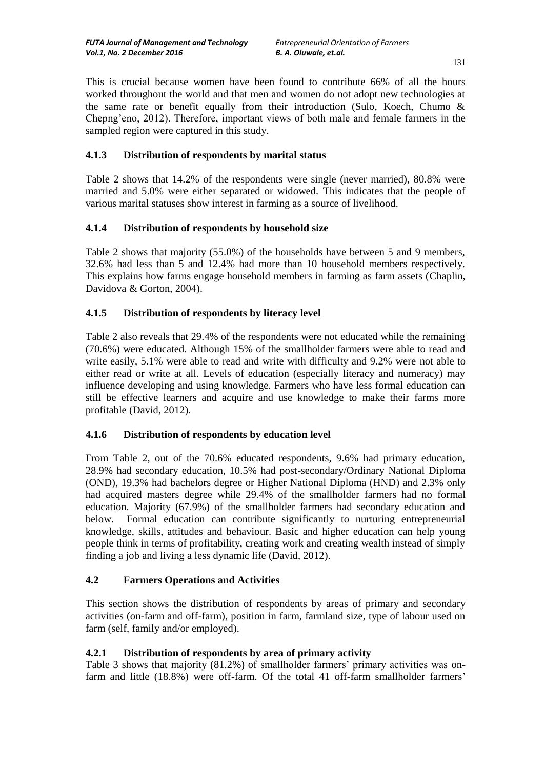This is crucial because women have been found to contribute 66% of all the hours worked throughout the world and that men and women do not adopt new technologies at the same rate or benefit equally from their introduction (Sulo, Koech, Chumo & Chepng"eno, 2012). Therefore, important views of both male and female farmers in the sampled region were captured in this study.

# **4.1.3 Distribution of respondents by marital status**

Table 2 shows that 14.2% of the respondents were single (never married), 80.8% were married and 5.0% were either separated or widowed. This indicates that the people of various marital statuses show interest in farming as a source of livelihood.

## **4.1.4 Distribution of respondents by household size**

Table 2 shows that majority (55.0%) of the households have between 5 and 9 members, 32.6% had less than 5 and 12.4% had more than 10 household members respectively. This explains how farms engage household members in farming as farm assets (Chaplin, Davidova & Gorton, 2004).

## **4.1.5 Distribution of respondents by literacy level**

Table 2 also reveals that 29.4% of the respondents were not educated while the remaining (70.6%) were educated. Although 15% of the smallholder farmers were able to read and write easily, 5.1% were able to read and write with difficulty and 9.2% were not able to either read or write at all. Levels of education (especially literacy and numeracy) may influence developing and using knowledge. Farmers who have less formal education can still be effective learners and acquire and use knowledge to make their farms more profitable (David, 2012).

#### **4.1.6 Distribution of respondents by education level**

From Table 2, out of the 70.6% educated respondents, 9.6% had primary education, 28.9% had secondary education, 10.5% had post-secondary/Ordinary National Diploma (OND), 19.3% had bachelors degree or Higher National Diploma (HND) and 2.3% only had acquired masters degree while 29.4% of the smallholder farmers had no formal education. Majority (67.9%) of the smallholder farmers had secondary education and below. Formal education can contribute significantly to nurturing entrepreneurial knowledge, skills, attitudes and behaviour. Basic and higher education can help young people think in terms of profitability, creating work and creating wealth instead of simply finding a job and living a less dynamic life (David, 2012).

#### **4.2 Farmers Operations and Activities**

This section shows the distribution of respondents by areas of primary and secondary activities (on-farm and off-farm), position in farm, farmland size, type of labour used on farm (self, family and/or employed).

## **4.2.1 Distribution of respondents by area of primary activity**

Table 3 shows that majority (81.2%) of smallholder farmers" primary activities was onfarm and little (18.8%) were off-farm. Of the total 41 off-farm smallholder farmers'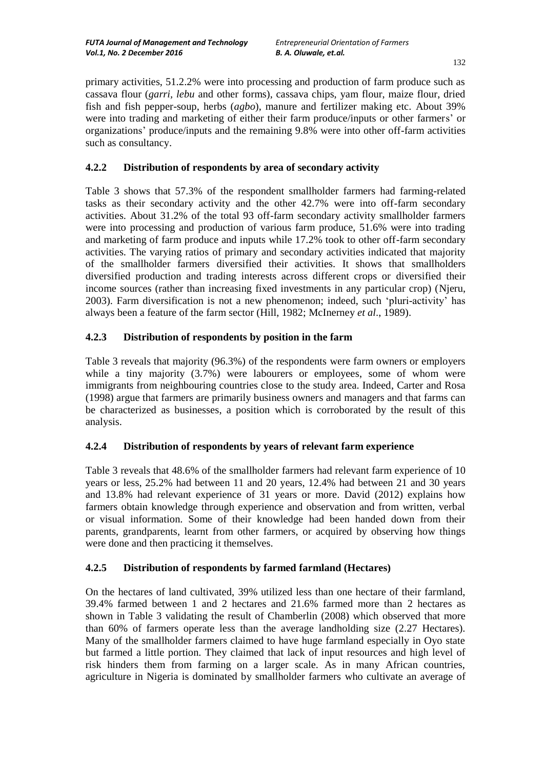primary activities, 51.2.2% were into processing and production of farm produce such as cassava flour (*garri, lebu* and other forms), cassava chips, yam flour, maize flour, dried fish and fish pepper-soup, herbs (*agbo*), manure and fertilizer making etc. About 39% were into trading and marketing of either their farm produce/inputs or other farmers" or organizations" produce/inputs and the remaining 9.8% were into other off-farm activities such as consultancy.

## **4.2.2 Distribution of respondents by area of secondary activity**

Table 3 shows that 57.3% of the respondent smallholder farmers had farming-related tasks as their secondary activity and the other 42.7% were into off-farm secondary activities. About 31.2% of the total 93 off-farm secondary activity smallholder farmers were into processing and production of various farm produce, 51.6% were into trading and marketing of farm produce and inputs while 17.2% took to other off-farm secondary activities. The varying ratios of primary and secondary activities indicated that majority of the smallholder farmers diversified their activities. It shows that smallholders diversified production and trading interests across different crops or diversified their income sources (rather than increasing fixed investments in any particular crop) (Njeru, 2003). Farm diversification is not a new phenomenon; indeed, such "pluri-activity" has always been a feature of the farm sector (Hill, 1982; McInerney *et al*., 1989).

# **4.2.3 Distribution of respondents by position in the farm**

Table 3 reveals that majority (96.3%) of the respondents were farm owners or employers while a tiny majority  $(3.7%)$  were labourers or employees, some of whom were immigrants from neighbouring countries close to the study area. Indeed, Carter and Rosa (1998) argue that farmers are primarily business owners and managers and that farms can be characterized as businesses, a position which is corroborated by the result of this analysis.

## **4.2.4 Distribution of respondents by years of relevant farm experience**

Table 3 reveals that 48.6% of the smallholder farmers had relevant farm experience of 10 years or less, 25.2% had between 11 and 20 years, 12.4% had between 21 and 30 years and 13.8% had relevant experience of 31 years or more. David (2012) explains how farmers obtain knowledge through experience and observation and from written, verbal or visual information. Some of their knowledge had been handed down from their parents, grandparents, learnt from other farmers, or acquired by observing how things were done and then practicing it themselves.

## **4.2.5 Distribution of respondents by farmed farmland (Hectares)**

On the hectares of land cultivated, 39% utilized less than one hectare of their farmland, 39.4% farmed between 1 and 2 hectares and 21.6% farmed more than 2 hectares as shown in Table 3 validating the result of Chamberlin (2008) which observed that more than 60% of farmers operate less than the average landholding size (2.27 Hectares). Many of the smallholder farmers claimed to have huge farmland especially in Oyo state but farmed a little portion. They claimed that lack of input resources and high level of risk hinders them from farming on a larger scale. As in many African countries, agriculture in Nigeria is dominated by smallholder farmers who cultivate an average of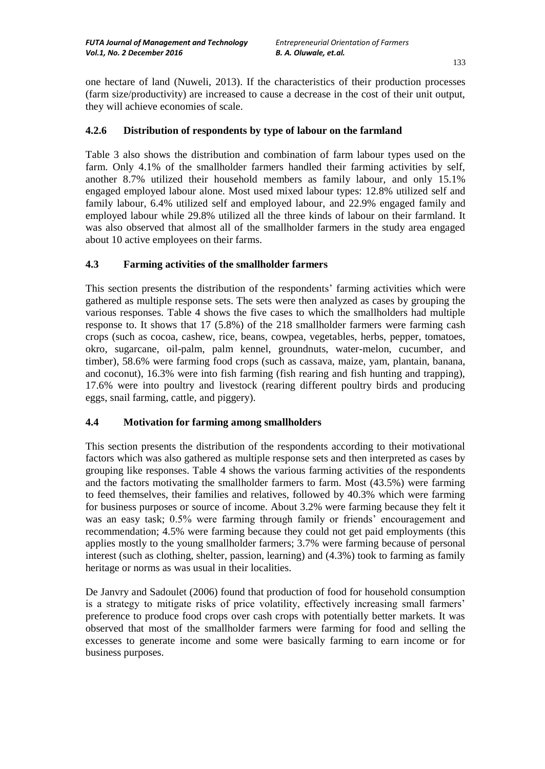one hectare of land (Nuweli, 2013). If the characteristics of their production processes (farm size/productivity) are increased to cause a decrease in the cost of their unit output, they will achieve economies of scale.

## **4.2.6 Distribution of respondents by type of labour on the farmland**

Table 3 also shows the distribution and combination of farm labour types used on the farm. Only 4.1% of the smallholder farmers handled their farming activities by self, another 8.7% utilized their household members as family labour, and only 15.1% engaged employed labour alone. Most used mixed labour types: 12.8% utilized self and family labour, 6.4% utilized self and employed labour, and 22.9% engaged family and employed labour while 29.8% utilized all the three kinds of labour on their farmland. It was also observed that almost all of the smallholder farmers in the study area engaged about 10 active employees on their farms.

## **4.3 Farming activities of the smallholder farmers**

This section presents the distribution of the respondents' farming activities which were gathered as multiple response sets. The sets were then analyzed as cases by grouping the various responses. Table 4 shows the five cases to which the smallholders had multiple response to. It shows that 17 (5.8%) of the 218 smallholder farmers were farming cash crops (such as cocoa, cashew, rice, beans, cowpea, vegetables, herbs, pepper, tomatoes, okro, sugarcane, oil-palm, palm kennel, groundnuts, water-melon, cucumber, and timber), 58.6% were farming food crops (such as cassava, maize, yam, plantain, banana, and coconut), 16.3% were into fish farming (fish rearing and fish hunting and trapping), 17.6% were into poultry and livestock (rearing different poultry birds and producing eggs, snail farming, cattle, and piggery).

#### **4.4 Motivation for farming among smallholders**

This section presents the distribution of the respondents according to their motivational factors which was also gathered as multiple response sets and then interpreted as cases by grouping like responses. Table 4 shows the various farming activities of the respondents and the factors motivating the smallholder farmers to farm. Most (43.5%) were farming to feed themselves, their families and relatives, followed by 40.3% which were farming for business purposes or source of income. About 3.2% were farming because they felt it was an easy task;  $0.5\%$  were farming through family or friends' encouragement and recommendation; 4.5% were farming because they could not get paid employments (this applies mostly to the young smallholder farmers; 3.7% were farming because of personal interest (such as clothing, shelter, passion, learning) and (4.3%) took to farming as family heritage or norms as was usual in their localities.

De Janvry and Sadoulet (2006) found that production of food for household consumption is a strategy to mitigate risks of price volatility, effectively increasing small farmers" preference to produce food crops over cash crops with potentially better markets. It was observed that most of the smallholder farmers were farming for food and selling the excesses to generate income and some were basically farming to earn income or for business purposes.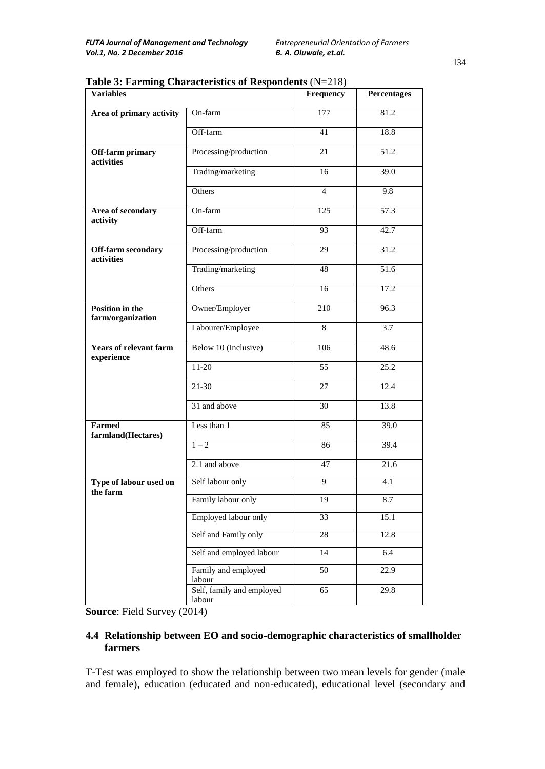| <b>Variables</b>                            |                                     | Frequency       | <b>Percentages</b> |
|---------------------------------------------|-------------------------------------|-----------------|--------------------|
| Area of primary activity                    | On-farm                             | 177             | 81.2               |
|                                             | Off-farm                            | 41              | 18.8               |
| Off-farm primary<br>activities              | Processing/production               | 21              | 51.2               |
|                                             | Trading/marketing                   | 16              | 39.0               |
|                                             | Others                              | $\overline{4}$  | 9.8                |
| Area of secondary<br>activity               | On-farm                             | 125             | 57.3               |
|                                             | Off-farm                            | 93              | 42.7               |
| <b>Off-farm secondary</b><br>activities     | Processing/production               | 29              | 31.2               |
|                                             | Trading/marketing                   | 48              | 51.6               |
|                                             | Others                              | 16              | 17.2               |
| <b>Position in the</b><br>farm/organization | Owner/Employer                      | 210             | 96.3               |
|                                             | Labourer/Employee                   | $\overline{8}$  | 3.7                |
| <b>Years of relevant farm</b><br>experience | Below 10 (Inclusive)                | 106             | 48.6               |
|                                             | $11-20$                             | $\overline{55}$ | $\overline{25.2}$  |
|                                             | $21 - 30$                           | 27              | 12.4               |
|                                             | 31 and above                        | 30              | 13.8               |
| <b>Farmed</b><br>farmland(Hectares)         | Less than 1                         | 85              | 39.0               |
|                                             | $\overline{1-2}$                    | 86              | 39.4               |
|                                             | 2.1 and above                       | 47              | 21.6               |
| Type of labour used on<br>the farm          | Self labour only                    | $\overline{9}$  | 4.1                |
|                                             | Family labour only                  | 19              | 8.7                |
|                                             | Employed labour only                | 33              | 15.1               |
|                                             | Self and Family only                | 28              | 12.8               |
|                                             | Self and employed labour            | 14              | 6.4                |
|                                             | Family and employed<br>labour       | 50              | 22.9               |
|                                             | Self, family and employed<br>labour | 65              | 29.8               |

**Table 3: Farming Characteristics of Respondents** (N=218)

**Source**: Field Survey (2014)

## **4.4 Relationship between EO and socio-demographic characteristics of smallholder farmers**

T-Test was employed to show the relationship between two mean levels for gender (male and female), education (educated and non-educated), educational level (secondary and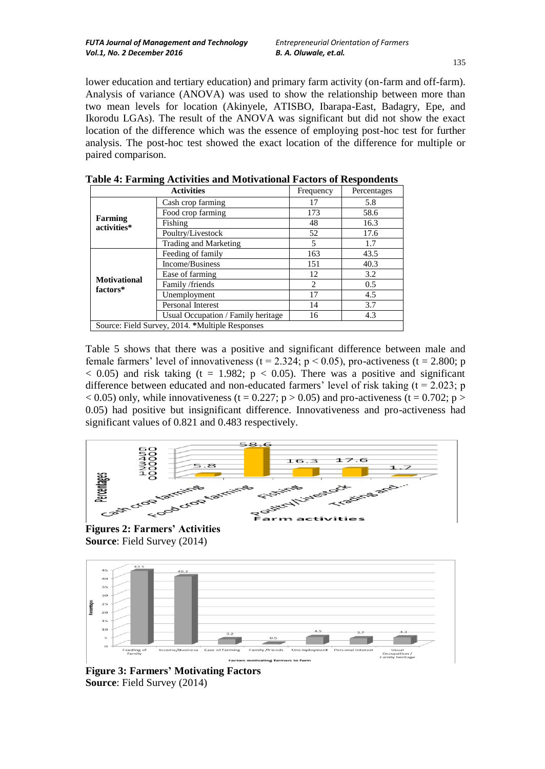lower education and tertiary education) and primary farm activity (on-farm and off-farm). Analysis of variance (ANOVA) was used to show the relationship between more than two mean levels for location (Akinyele, ATISBO, Ibarapa-East, Badagry, Epe, and Ikorodu LGAs). The result of the ANOVA was significant but did not show the exact location of the difference which was the essence of employing post-hoc test for further analysis. The post-hoc test showed the exact location of the difference for multiple or paired comparison.

| <b>Activities</b>                               |                                    | Frequency      | Percentages |
|-------------------------------------------------|------------------------------------|----------------|-------------|
|                                                 | Cash crop farming                  | 17             | 5.8         |
|                                                 | Food crop farming                  | 173            | 58.6        |
| <b>Farming</b><br>activities*                   | Fishing                            | 48             | 16.3        |
|                                                 | Poultry/Livestock                  | 52             | 17.6        |
|                                                 | Trading and Marketing              | 5              | 1.7         |
|                                                 | Feeding of family                  | 163            | 43.5        |
|                                                 | Income/Business                    | 151            | 40.3        |
| <b>Motivational</b>                             | Ease of farming                    | 12             | 3.2         |
| factors*                                        | Family /friends                    | $\mathfrak{D}$ | 0.5         |
|                                                 | Unemployment                       | 17             | 4.5         |
|                                                 | Personal Interest                  | 14             | 3.7         |
|                                                 | Usual Occupation / Family heritage | 16             | 4.3         |
| Source: Field Survey, 2014. *Multiple Responses |                                    |                |             |

**Table 4: Farming Activities and Motivational Factors of Respondents**

Table 5 shows that there was a positive and significant difference between male and female farmers' level of innovativeness ( $t = 2.324$ ;  $p < 0.05$ ), pro-activeness ( $t = 2.800$ ; p  $<$  0.05) and risk taking (t = 1.982; p  $<$  0.05). There was a positive and significant difference between educated and non-educated farmers' level of risk taking  $(t = 2.023; p)$  $< 0.05$ ) only, while innovativeness (t = 0.227; p > 0.05) and pro-activeness (t = 0.702; p > 0.05) had positive but insignificant difference. Innovativeness and pro-activeness had significant values of 0.821 and 0.483 respectively.



**Figures 2: Farmers' Activities Source**: Field Survey (2014)



**Figure 3: Farmers' Motivating Factors Source**: Field Survey (2014)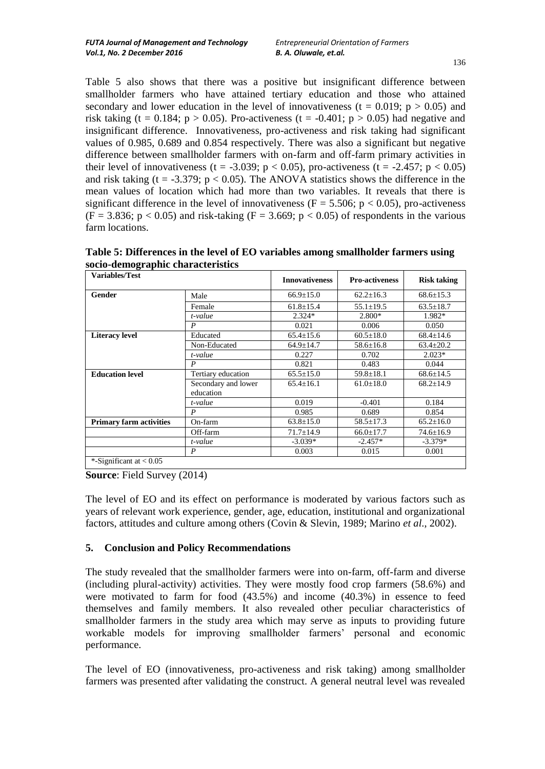Table 5 also shows that there was a positive but insignificant difference between smallholder farmers who have attained tertiary education and those who attained secondary and lower education in the level of innovativeness (t =  $0.019$ ; p > 0.05) and risk taking (t = 0.184; p > 0.05). Pro-activeness (t = -0.401; p > 0.05) had negative and insignificant difference. Innovativeness, pro-activeness and risk taking had significant values of 0.985, 0.689 and 0.854 respectively. There was also a significant but negative difference between smallholder farmers with on-farm and off-farm primary activities in their level of innovativeness (t = -3.039;  $p < 0.05$ ), pro-activeness (t = -2.457;  $p < 0.05$ ) and risk taking (t = -3.379;  $p < 0.05$ ). The ANOVA statistics shows the difference in the mean values of location which had more than two variables. It reveals that there is significant difference in the level of innovativeness ( $F = 5.506$ ;  $p < 0.05$ ), pro-activeness  $(F = 3.836; p < 0.05)$  and risk-taking  $(F = 3.669; p < 0.05)$  of respondents in the various farm locations.

**Table 5: Differences in the level of EO variables among smallholder farmers using socio-demographic characteristics**

| Variables/Test                 |                                  | <b>Innovativeness</b> | <b>Pro-activeness</b> | <b>Risk taking</b> |
|--------------------------------|----------------------------------|-----------------------|-----------------------|--------------------|
| Gender                         | Male                             | $66.9 \pm 15.0$       | $62.2 \pm 16.3$       | $68.6 \pm 15.3$    |
|                                | Female                           | $61.8 \pm 15.4$       | $55.1 \pm 19.5$       | $63.5 \pm 18.7$    |
|                                | t-value                          | $2.324*$              | 2.800*                | 1.982*             |
|                                | P                                | 0.021                 | 0.006                 | 0.050              |
| <b>Literacy level</b>          | Educated                         | $65.4 \pm 15.6$       | $60.5 \pm 18.0$       | $68.4 \pm 14.6$    |
|                                | Non-Educated                     | $64.9 + 14.7$         | $58.6 \pm 16.8$       | $63.4 \pm 20.2$    |
|                                | t-value                          | 0.227                 | 0.702                 | $2.023*$           |
|                                | P                                | 0.821                 | 0.483                 | 0.044              |
| <b>Education level</b>         | Tertiary education               | $65.5 \pm 15.0$       | $59.8 \pm 18.1$       | $68.6 \pm 14.5$    |
|                                | Secondary and lower<br>education | $65.4 \pm 16.1$       | $61.0 \pm 18.0$       | $68.2 \pm 14.9$    |
|                                | t-value                          | 0.019                 | $-0.401$              | 0.184              |
|                                | P                                | 0.985                 | 0.689                 | 0.854              |
| <b>Primary farm activities</b> | On-farm                          | $63.8 \pm 15.0$       | $58.5 \pm 17.3$       | $65.2 \pm 16.0$    |
|                                | Off-farm                         | $71.7 \pm 14.9$       | $66.0 \pm 17.7$       | 74.6±16.9          |
|                                | t-value                          | $-3.039*$             | $-2.457*$             | $-3.379*$          |
|                                | P                                | 0.003                 | 0.015                 | 0.001              |
| *-Significant at $< 0.05$      |                                  |                       |                       |                    |

**Source**: Field Survey (2014)

The level of EO and its effect on performance is moderated by various factors such as years of relevant work experience, gender, age, education, institutional and organizational factors, attitudes and culture among others (Covin & Slevin, 1989; Marino *et al*., 2002).

#### **5. Conclusion and Policy Recommendations**

The study revealed that the smallholder farmers were into on-farm, off-farm and diverse (including plural-activity) activities. They were mostly food crop farmers (58.6%) and were motivated to farm for food (43.5%) and income (40.3%) in essence to feed themselves and family members. It also revealed other peculiar characteristics of smallholder farmers in the study area which may serve as inputs to providing future workable models for improving smallholder farmers" personal and economic performance.

The level of EO (innovativeness, pro-activeness and risk taking) among smallholder farmers was presented after validating the construct. A general neutral level was revealed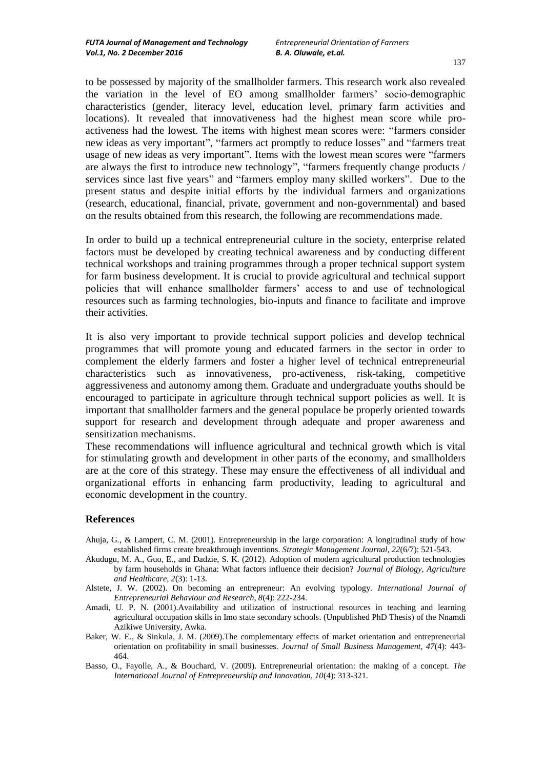to be possessed by majority of the smallholder farmers. This research work also revealed the variation in the level of EO among smallholder farmers" socio-demographic characteristics (gender, literacy level, education level, primary farm activities and locations). It revealed that innovativeness had the highest mean score while proactiveness had the lowest. The items with highest mean scores were: "farmers consider new ideas as very important", "farmers act promptly to reduce losses" and "farmers treat usage of new ideas as very important". Items with the lowest mean scores were "farmers are always the first to introduce new technology", "farmers frequently change products / services since last five years" and "farmers employ many skilled workers". Due to the present status and despite initial efforts by the individual farmers and organizations (research, educational, financial, private, government and non-governmental) and based on the results obtained from this research, the following are recommendations made.

In order to build up a technical entrepreneurial culture in the society, enterprise related factors must be developed by creating technical awareness and by conducting different technical workshops and training programmes through a proper technical support system for farm business development. It is crucial to provide agricultural and technical support policies that will enhance smallholder farmers" access to and use of technological resources such as farming technologies, bio-inputs and finance to facilitate and improve their activities.

It is also very important to provide technical support policies and develop technical programmes that will promote young and educated farmers in the sector in order to complement the elderly farmers and foster a higher level of technical entrepreneurial characteristics such as innovativeness, pro-activeness, risk-taking, competitive aggressiveness and autonomy among them. Graduate and undergraduate youths should be encouraged to participate in agriculture through technical support policies as well. It is important that smallholder farmers and the general populace be properly oriented towards support for research and development through adequate and proper awareness and sensitization mechanisms.

These recommendations will influence agricultural and technical growth which is vital for stimulating growth and development in other parts of the economy, and smallholders are at the core of this strategy. These may ensure the effectiveness of all individual and organizational efforts in enhancing farm productivity, leading to agricultural and economic development in the country.

#### **References**

- Ahuja, G., & Lampert, C. M. (2001). Entrepreneurship in the large corporation: A longitudinal study of how established firms create breakthrough inventions. *Strategic Management Journal, 22*(6/7): 521-543.
- Akudugu, M. A., Guo, E., and Dadzie, S. K. (2012). Adoption of modern agricultural production technologies by farm households in Ghana: What factors influence their decision? *Journal of Biology, Agriculture and Healthcare, 2*(3): 1-13.
- Alstete, J. W. (2002). On becoming an entrepreneur: An evolving typology*. International Journal of Entrepreneurial Behaviour and Research, 8*(4): 222-234.
- Amadi, U. P. N. (2001).Availability and utilization of instructional resources in teaching and learning agricultural occupation skills in Imo state secondary schools. (Unpublished PhD Thesis) of the Nnamdi Azikiwe University, Awka.
- Baker, W. E., & Sinkula, J. M. (2009).The complementary effects of market orientation and entrepreneurial orientation on profitability in small businesses. *Journal of Small Business Management, 47*(4): 443- 464.
- Basso, O., Fayolle, A., & Bouchard, V. (2009). Entrepreneurial orientation: the making of a concept. *The International Journal of Entrepreneurship and Innovation, 10*(4): 313-321.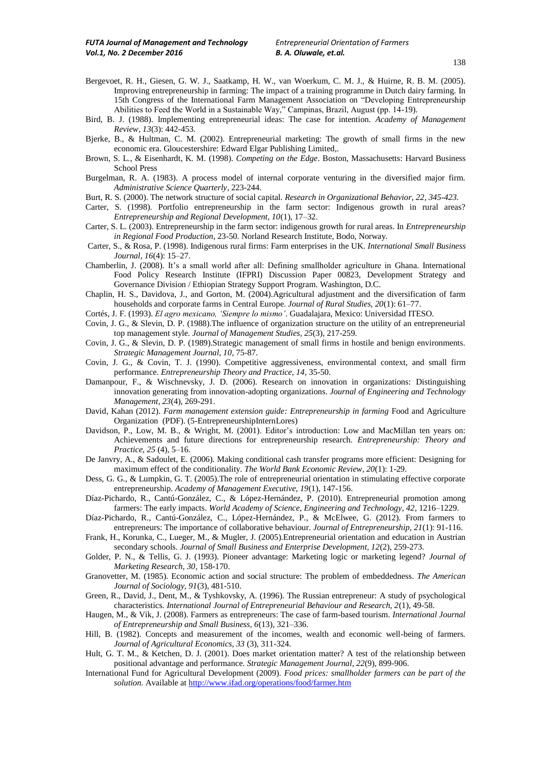- Bergevoet, R. H., Giesen, G. W. J., Saatkamp, H. W., van Woerkum, C. M. J., & Huirne, R. B. M. (2005). Improving entrepreneurship in farming: The impact of a training programme in Dutch dairy farming. In 15th Congress of the International Farm Management Association on "Developing Entrepreneurship Abilities to Feed the World in a Sustainable Way," Campinas, Brazil, August (pp. 14-19).
- Bird, B. J. (1988). Implementing entrepreneurial ideas: The case for intention. *Academy of Management Review, 13*(3): 442-453.
- Bjerke, B., & Hultman, C. M. (2002). Entrepreneurial marketing: The growth of small firms in the new economic era. Gloucestershire: Edward Elgar Publishing Limited,.
- Brown, S. L., & Eisenhardt, K. M. (1998). *Competing on the Edge*. Boston, Massachusetts: Harvard Business School Press
- Burgelman, R. A. (1983). A process model of internal corporate venturing in the diversified major firm. *Administrative Science Quarterly,* 223-244.
- Burt, R. S. (2000). The network structure of social capital. *Research in Organizational Behavior, 22, 345-423.*
- Carter, S. (1998). Portfolio entrepreneurship in the farm sector: Indigenous growth in rural areas? *Entrepreneurship and Regional Development, 10*(1), 17–32.
- Carter, S. L. (2003). Entrepreneurship in the farm sector: indigenous growth for rural areas. In *Entrepreneurship in Regional Food Production*, 23-50*.* Norland Research Institute, Bodo, Norway.
- Carter, S., & Rosa, P. (1998). Indigenous rural firms: Farm enterprises in the UK. *International Small Business Journal, 16*(4): 15–27.
- Chamberlin, J. (2008). It's a small world after all: Defining smallholder agriculture in Ghana. International Food Policy Research Institute (IFPRI) Discussion Paper 00823, Development Strategy and Governance Division / Ethiopian Strategy Support Program. Washington, D.C.
- Chaplin, H. S., Davidova, J., and Gorton, M. (2004).Agricultural adjustment and the diversification of farm households and corporate farms in Central Europe. *Journal of Rural Studies, 20*(1): 61–77.
- Cortés, J. F. (1993). *El agro mexicano, 'Siempre lo mismo'*. Guadalajara, Mexico: Universidad ITESO.
- Covin, J. G., & Slevin, D. P. (1988).The influence of organization structure on the utility of an entrepreneurial top management style. *Journal of Management Studies, 25*(3), 217-259.
- Covin, J. G., & Slevin, D. P. (1989).Strategic management of small firms in hostile and benign environments. *Strategic Management Journal, 10,* 75-87.
- Covin, J. G., & Covin, T. J. (1990). Competitive aggressiveness, environmental context, and small firm performance. *Entrepreneurship Theory and Practice, 14,* 35-50.
- Damanpour, F., & Wischnevsky, J. D. (2006). Research on innovation in organizations: Distinguishing innovation generating from innovation-adopting organizations. *Journal of Engineering and Technology Management, 23*(4), 269-291.
- David, Kahan (2012). *Farm management extension guide: Entrepreneurship in farming* Food and Agriculture Organization (PDF). (5-EntrepreneurshipInternLores)
- Davidson, P., Low, M. B., & Wright, M. (2001). Editor's introduction: Low and MacMillan ten years on: Achievements and future directions for entrepreneurship research. *Entrepreneurship: Theory and Practice, 25* (4), 5–16.
- De Janvry, A., & Sadoulet, E. (2006). Making conditional cash transfer programs more efficient: Designing for maximum effect of the conditionality. *The World Bank Economic Review, 20*(1): 1-29.
- Dess, G. G., & Lumpkin, G. T. (2005).The role of entrepreneurial orientation in stimulating effective corporate entrepreneurship. *Academy of Management Executive, 19*(1), 147-156.
- Díaz-Pichardo, R., Cantú-González, C., & López-Hernández, P. (2010). Entrepreneurial promotion among farmers: The early impacts. *World Academy of Science, Engineering and Technology, 42,* 1216–1229.
- Díaz-Pichardo, R., Cantú-González, C., López-Hernández, P., & McElwee, G. (2012). From farmers to entrepreneurs: The importance of collaborative behaviour. *Journal of Entrepreneurship, 21*(1): 91-116.
- Frank, H., Korunka, C., Lueger, M., & Mugler, J. (2005).Entrepreneurial orientation and education in Austrian secondary schools. *Journal of Small Business and Enterprise Development, 12*(2), 259-273.
- Golder, P. N., & Tellis, G. J. (1993). Pioneer advantage: Marketing logic or marketing legend? *Journal of Marketing Research, 30,* 158-170.
- Granovetter, M. (1985). Economic action and social structure: The problem of embeddedness. *The American Journal of Sociology, 91*(3), 481-510.
- Green, R., David, J., Dent, M., & Tyshkovsky, A. (1996). The Russian entrepreneur: A study of psychological characteristics. *International Journal of Entrepreneurial Behaviour and Research, 2*(1), 49-58.
- Haugen, M., & Vik, J. (2008). Farmers as entrepreneurs: The case of farm-based tourism. *International Journal of Entrepreneurship and Small Business, 6*(13), 321–336.
- Hill, B. (1982). Concepts and measurement of the incomes, wealth and economic well-being of farmers*. Journal of Agricultural Economics, 33* (3), 311-324.
- Hult, G. T. M., & Ketchen, D. J. (2001). Does market orientation matter? A test of the relationship between positional advantage and performance*. Strategic Management Journal, 22*(9), 899-906.
- International Fund for Agricultural Development (2009). *Food prices: smallholder farmers can be part of the*  solution. Available a[t http://www.ifad.org/operations/food/farmer.htm](http://www.ifad.org/operations/food/farmer.htm)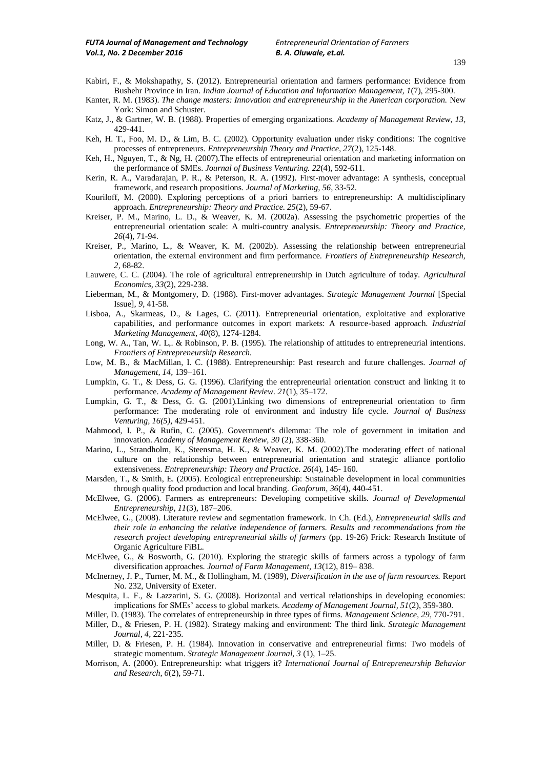- Kabiri, F., & Mokshapathy, S. (2012). Entrepreneurial orientation and farmers performance: Evidence from Bushehr Province in Iran. *Indian Journal of Education and Information Management, 1*(7), 295-300.
- Kanter, R. M. (1983). *The change masters: Innovation and entrepreneurship in the American corporation.* New York: Simon and Schuster.
- Katz, J., & Gartner, W. B. (1988). Properties of emerging organizations. *Academy of Management Review, 13,* 429-441.
- Keh, H. T., Foo, M. D., & Lim, B. C. (2002). Opportunity evaluation under risky conditions: The cognitive processes of entrepreneurs. *Entrepreneurship Theory and Practice, 27*(2), 125-148.
- Keh, H., Nguyen, T., & Ng, H. (2007).The effects of entrepreneurial orientation and marketing information on the performance of SMEs. *Journal of Business Venturing. 22*(4), 592-611.
- Kerin, R. A., Varadarajan, P. R., & Peterson, R. A. (1992). First-mover advantage: A synthesis, conceptual framework, and research propositions*. Journal of Marketing, 56,* 33-52.
- Kouriloff, M. (2000). Exploring perceptions of a priori barriers to entrepreneurship: A multidisciplinary approach. *Entrepreneurship: Theory and Practice. 25*(2), 59-67.
- Kreiser, P. M., Marino, L. D., & Weaver, K. M. (2002a). Assessing the psychometric properties of the entrepreneurial orientation scale: A multi-country analysis. *Entrepreneurship: Theory and Practice, 26*(4), 71-94.
- Kreiser, P., Marino, L., & Weaver, K. M. (2002b). Assessing the relationship between entrepreneurial orientation, the external environment and firm performance. *Frontiers of Entrepreneurship Research, 2,* 68-82.
- Lauwere, C. C. (2004). The role of agricultural entrepreneurship in Dutch agriculture of today. *Agricultural Economics, 33*(2), 229-238.
- Lieberman, M., & Montgomery, D. (1988). First-mover advantages. *Strategic Management Journal* [Special Issue]*, 9,* 41-58.
- Lisboa, A., Skarmeas, D., & Lages, C. (2011). Entrepreneurial orientation, exploitative and explorative capabilities, and performance outcomes in export markets: A resource-based approach. *Industrial Marketing Management, 40*(8), 1274-1284.
- Long, W. A., Tan, W. L,. & Robinson, P. B. (1995). The relationship of attitudes to entrepreneurial intentions. *Frontiers of Entrepreneurship Research.*
- Low, M. B., & MacMillan, I. C. (1988). Entrepreneurship: Past research and future challenges. *Journal of Management, 14,* 139–161.
- Lumpkin, G. T., & Dess, G. G. (1996). Clarifying the entrepreneurial orientation construct and linking it to performance. *Academy of Management Review. 21*(1), 35–172.
- Lumpkin, G. T., & Dess, G. G. (2001).Linking two dimensions of entrepreneurial orientation to firm performance: The moderating role of environment and industry life cycle*. Journal of Business Venturing, 16(5),* 429-451.
- Mahmood, I. P., & Rufin, C. (2005). Government's dilemma: The role of government in imitation and innovation. *Academy of Management Review, 30* (2), 338-360.
- Marino, L., Strandholm, K., Steensma, H. K., & Weaver, K. M. (2002).The moderating effect of national culture on the relationship between entrepreneurial orientation and strategic alliance portfolio extensiveness*. Entrepreneurship: Theory and Practice. 26*(4), 145- 160.
- Marsden, T., & Smith, E. (2005). Ecological entrepreneurship: Sustainable development in local communities through quality food production and local branding. *Geoforum, 36*(4), 440-451.
- McElwee, G. (2006). Farmers as entrepreneurs: Developing competitive skills*. Journal of Developmental Entrepreneurship, 11*(3), 187–206.
- McElwee, G., (2008). Literature review and segmentation framework. In Ch. (Ed.), *Entrepreneurial skills and their role in enhancing the relative independence of farmers. Results and recommendations from the research project developing entrepreneurial skills of farmers* (pp. 19-26) Frick: Research Institute of Organic Agriculture FiBL.
- McElwee, G., & Bosworth, G. (2010). Exploring the strategic skills of farmers across a typology of farm diversification approaches. *Journal of Farm Management, 13*(12), 819– 838.
- McInerney, J. P., Turner, M. M., & Hollingham, M. (1989), *Diversification in the use of farm resources.* Report No. 232, University of Exeter.
- Mesquita, L. F., & Lazzarini, S. G. (2008). Horizontal and vertical relationships in developing economies: implications for SMEs" access to global markets. *Academy of Management Journal, 51*(2), 359-380.
- Miller, D. (1983). The correlates of entrepreneurship in three types of firms. *Management Science, 29,* 770-791.
- Miller, D., & Friesen, P. H. (1982). Strategy making and environment: The third link. *Strategic Management Journal, 4,* 221-235.
- Miller, D. & Friesen, P. H. (1984). Innovation in conservative and entrepreneurial firms: Two models of strategic momentum. *Strategic Management Journal, 3* (1), 1–25.
- Morrison, A. (2000). Entrepreneurship: what triggers it? *International Journal of Entrepreneurship Behavior and Research, 6*(2), 59-71.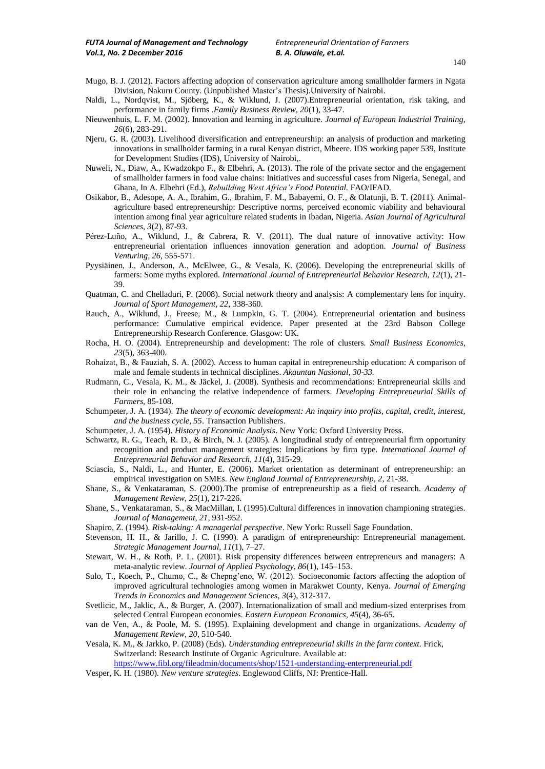- 140
- Mugo, B. J. (2012). Factors affecting adoption of conservation agriculture among smallholder farmers in Ngata Division, Nakuru County. (Unpublished Master"s Thesis).University of Nairobi.
- Naldi, L., Nordqvist, M., Sjöberg, K., & Wiklund, J. (2007).Entrepreneurial orientation, risk taking, and performance in family firms .*Family Business Review, 20*(1), 33-47.
- Nieuwenhuis, L. F. M. (2002). Innovation and learning in agriculture. *Journal of European Industrial Training, 26*(6), 283-291.
- Njeru, G. R. (2003). Livelihood diversification and entrepreneurship: an analysis of production and marketing innovations in smallholder farming in a rural Kenyan district, Mbeere. IDS working paper 539, Institute for Development Studies (IDS), University of Nairobi,.
- Nuweli, N., Diaw, A., Kwadzokpo F., & Elbehri, A. (2013). The role of the private sector and the engagement of smallholder farmers in food value chains: Initiatives and successful cases from Nigeria, Senegal, and Ghana, In A. Elbehri (Ed.), *Rebuilding West Africa's Food Potential.* FAO/IFAD.
- Osikabor, B., Adesope, A. A., Ibrahim, G., Ibrahim, F. M., Babayemi, O. F., & Olatunji, B. T. (2011). Animalagriculture based entrepreneurship: Descriptive norms, perceived economic viability and behavioural intention among final year agriculture related students in Ibadan, Nigeria. *Asian Journal of Agricultural Sciences, 3*(2), 87-93.
- Pérez-Luño, A., Wiklund, J., & Cabrera, R. V. (2011). The dual nature of innovative activity: How entrepreneurial orientation influences innovation generation and adoption. *Journal of Business Venturing, 26,* 555-571.
- Pyysiäinen, J., Anderson, A., McElwee, G., & Vesala, K. (2006). Developing the entrepreneurial skills of farmers: Some myths explored*. International Journal of Entrepreneurial Behavior Research, 12*(1), 21- 39.
- Quatman, C. and Chelladuri, P. (2008). Social network theory and analysis: A complementary lens for inquiry. *Journal of Sport Management, 22,* 338-360.
- Rauch, A., Wiklund, J., Freese, M., & Lumpkin, G. T. (2004). Entrepreneurial orientation and business performance: Cumulative empirical evidence. Paper presented at the 23rd Babson College Entrepreneurship Research Conference. Glasgow: UK.
- Rocha, H. O. (2004). Entrepreneurship and development: The role of clusters*. Small Business Economics, 23*(5), 363-400.
- Rohaizat, B., & Fauziah, S. A. (2002). Access to human capital in entrepreneurship education: A comparison of male and female students in technical disciplines. *Akauntan Nasional, 30-33.*
- Rudmann, C., Vesala, K. M., & Jäckel, J. (2008). Synthesis and recommendations: Entrepreneurial skills and their role in enhancing the relative independence of farmers. *Developing Entrepreneurial Skills of Farmers,* 85-108.
- Schumpeter, J. A. (1934). *The theory of economic development: An inquiry into profits, capital, credit, interest, and the business cycle, 55*. Transaction Publishers.
- Schumpeter, J. A. (1954). *History of Economic Analysis*. New York: Oxford University Press.
- Schwartz, R. G., Teach, R. D., & Birch, N. J. (2005). A longitudinal study of entrepreneurial firm opportunity recognition and product management strategies: Implications by firm type. *International Journal of Entrepreneurial Behavior and Research, 11*(4), 315-29.
- Sciascia, S., Naldi, L., and Hunter, E. (2006). Market orientation as determinant of entrepreneurship: an empirical investigation on SMEs. *New England Journal of Entrepreneurship, 2,* 21-38.
- Shane, S., & Venkataraman, S. (2000).The promise of entrepreneurship as a field of research. *Academy of Management Review, 25*(1), 217-226.
- Shane, S., Venkataraman, S., & MacMillan, I. (1995).Cultural differences in innovation championing strategies. *Journal of Management, 21,* 931-952.
- Shapiro, Z. (1994). *Risk-taking: A managerial perspective*. New York: Russell Sage Foundation.
- Stevenson, H. H., & Jarillo, J. C. (1990). A paradigm of entrepreneurship: Entrepreneurial management. *Strategic Management Journal, 11*(1), 7–27.
- Stewart, W. H., & Roth, P. L. (2001). Risk propensity differences between entrepreneurs and managers: A meta-analytic review. *Journal of Applied Psychology, 86*(1), 145–153.
- Sulo, T., Koech, P., Chumo, C., & Chepng"eno, W. (2012). Socioeconomic factors affecting the adoption of improved agricultural technologies among women in Marakwet County, Kenya. *Journal of Emerging Trends in Economics and Management Sciences*, *3*(4), 312-317.
- Svetlicic, M., Jaklic, A., & Burger, A. (2007). Internationalization of small and medium-sized enterprises from selected Central European economies*. Eastern European Economics, 45*(4), 36-65.
- van de Ven, A., & Poole, M. S. (1995). Explaining development and change in organizations. *Academy of Management Review, 20,* 510-540.
- Vesala, K. M., & Jarkko, P. (2008) (Eds). *Understanding entrepreneurial skills in the farm context.* Frick, Switzerland: Research Institute of Organic Agriculture. Available at: <https://www.fibl.org/fileadmin/documents/shop/1521-understanding-enterpreneurial.pdf>
- Vesper, K. H. (1980). *New venture strategies*. Englewood Cliffs, NJ: Prentice-Hall.